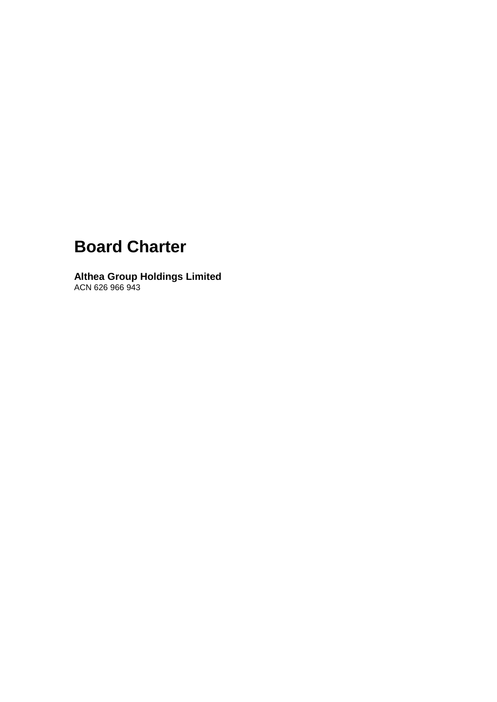# **Board Charter**

**Althea Group Holdings Limited** ACN 626 966 943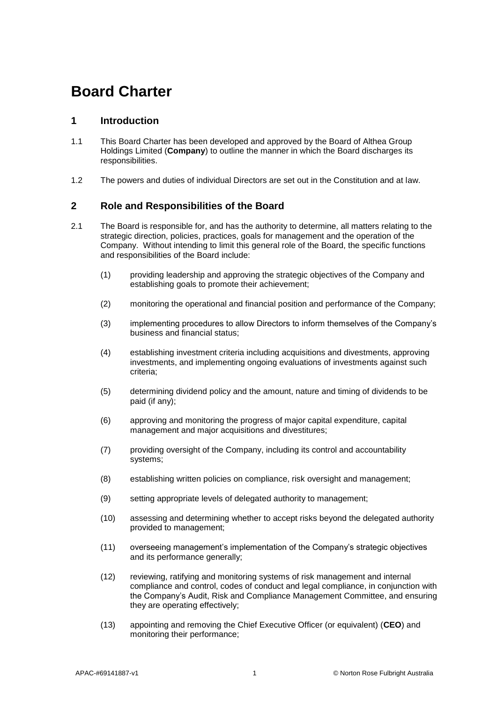## **Board Charter**

## **1 Introduction**

- 1.1 This Board Charter has been developed and approved by the Board of Althea Group Holdings Limited (**Company**) to outline the manner in which the Board discharges its responsibilities.
- 1.2 The powers and duties of individual Directors are set out in the Constitution and at law.

## **2 Role and Responsibilities of the Board**

- 2.1 The Board is responsible for, and has the authority to determine, all matters relating to the strategic direction, policies, practices, goals for management and the operation of the Company. Without intending to limit this general role of the Board, the specific functions and responsibilities of the Board include:
	- (1) providing leadership and approving the strategic objectives of the Company and establishing goals to promote their achievement;
	- (2) monitoring the operational and financial position and performance of the Company;
	- (3) implementing procedures to allow Directors to inform themselves of the Company's business and financial status;
	- (4) establishing investment criteria including acquisitions and divestments, approving investments, and implementing ongoing evaluations of investments against such criteria;
	- (5) determining dividend policy and the amount, nature and timing of dividends to be paid (if any);
	- (6) approving and monitoring the progress of major capital expenditure, capital management and major acquisitions and divestitures;
	- (7) providing oversight of the Company, including its control and accountability systems;
	- (8) establishing written policies on compliance, risk oversight and management;
	- (9) setting appropriate levels of delegated authority to management;
	- (10) assessing and determining whether to accept risks beyond the delegated authority provided to management;
	- (11) overseeing management's implementation of the Company's strategic objectives and its performance generally;
	- (12) reviewing, ratifying and monitoring systems of risk management and internal compliance and control, codes of conduct and legal compliance, in conjunction with the Company's Audit, Risk and Compliance Management Committee, and ensuring they are operating effectively;
	- (13) appointing and removing the Chief Executive Officer (or equivalent) (**CEO**) and monitoring their performance;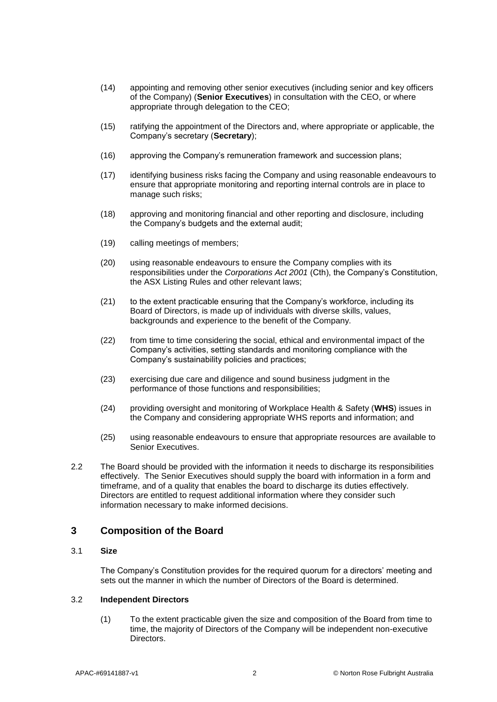- (14) appointing and removing other senior executives (including senior and key officers of the Company) (**Senior Executives**) in consultation with the CEO, or where appropriate through delegation to the CEO;
- (15) ratifying the appointment of the Directors and, where appropriate or applicable, the Company's secretary (**Secretary**);
- (16) approving the Company's remuneration framework and succession plans;
- (17) identifying business risks facing the Company and using reasonable endeavours to ensure that appropriate monitoring and reporting internal controls are in place to manage such risks;
- (18) approving and monitoring financial and other reporting and disclosure, including the Company's budgets and the external audit;
- (19) calling meetings of members;
- (20) using reasonable endeavours to ensure the Company complies with its responsibilities under the *Corporations Act 2001* (Cth), the Company's Constitution, the ASX Listing Rules and other relevant laws;
- (21) to the extent practicable ensuring that the Company's workforce, including its Board of Directors, is made up of individuals with diverse skills, values, backgrounds and experience to the benefit of the Company.
- (22) from time to time considering the social, ethical and environmental impact of the Company's activities, setting standards and monitoring compliance with the Company's sustainability policies and practices;
- (23) exercising due care and diligence and sound business judgment in the performance of those functions and responsibilities;
- (24) providing oversight and monitoring of Workplace Health & Safety (**WHS**) issues in the Company and considering appropriate WHS reports and information; and
- (25) using reasonable endeavours to ensure that appropriate resources are available to Senior Executives.
- 2.2 The Board should be provided with the information it needs to discharge its responsibilities effectively. The Senior Executives should supply the board with information in a form and timeframe, and of a quality that enables the board to discharge its duties effectively. Directors are entitled to request additional information where they consider such information necessary to make informed decisions.

## **3 Composition of the Board**

#### 3.1 **Size**

The Company's Constitution provides for the required quorum for a directors' meeting and sets out the manner in which the number of Directors of the Board is determined.

#### 3.2 **Independent Directors**

(1) To the extent practicable given the size and composition of the Board from time to time, the majority of Directors of the Company will be independent non-executive Directors.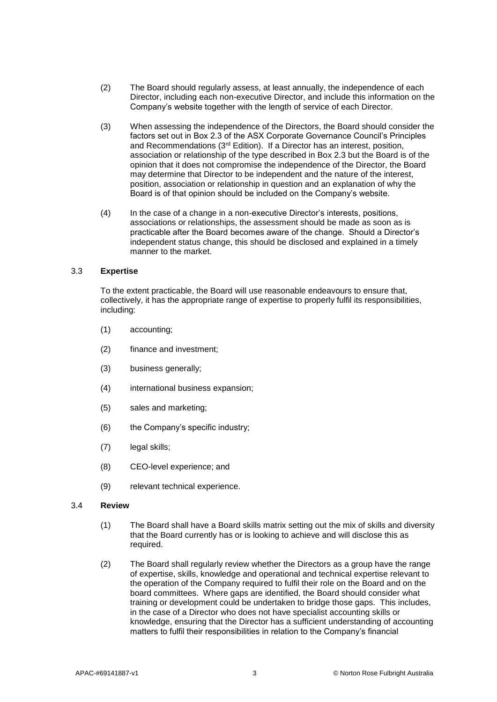- (2) The Board should regularly assess, at least annually, the independence of each Director, including each non-executive Director, and include this information on the Company's website together with the length of service of each Director.
- (3) When assessing the independence of the Directors, the Board should consider the factors set out in Box 2.3 of the ASX Corporate Governance Council's Principles and Recommendations (3rd Edition). If a Director has an interest, position, association or relationship of the type described in Box 2.3 but the Board is of the opinion that it does not compromise the independence of the Director, the Board may determine that Director to be independent and the nature of the interest, position, association or relationship in question and an explanation of why the Board is of that opinion should be included on the Company's website.
- (4) In the case of a change in a non-executive Director's interests, positions, associations or relationships, the assessment should be made as soon as is practicable after the Board becomes aware of the change. Should a Director's independent status change, this should be disclosed and explained in a timely manner to the market.

#### 3.3 **Expertise**

To the extent practicable, the Board will use reasonable endeavours to ensure that, collectively, it has the appropriate range of expertise to properly fulfil its responsibilities, including:

- (1) accounting;
- (2) finance and investment;
- (3) business generally;
- (4) international business expansion;
- (5) sales and marketing;
- (6) the Company's specific industry;
- (7) legal skills;
- (8) CEO-level experience; and
- (9) relevant technical experience.

#### 3.4 **Review**

- (1) The Board shall have a Board skills matrix setting out the mix of skills and diversity that the Board currently has or is looking to achieve and will disclose this as required.
- (2) The Board shall regularly review whether the Directors as a group have the range of expertise, skills, knowledge and operational and technical expertise relevant to the operation of the Company required to fulfil their role on the Board and on the board committees. Where gaps are identified, the Board should consider what training or development could be undertaken to bridge those gaps. This includes, in the case of a Director who does not have specialist accounting skills or knowledge, ensuring that the Director has a sufficient understanding of accounting matters to fulfil their responsibilities in relation to the Company's financial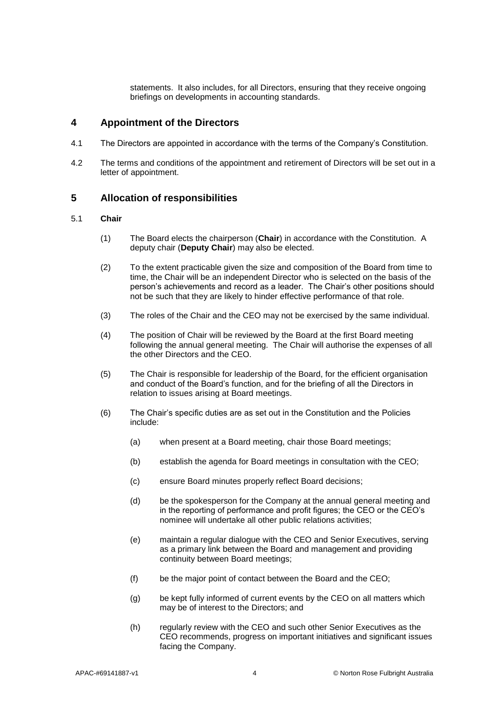statements. It also includes, for all Directors, ensuring that they receive ongoing briefings on developments in accounting standards.

## **4 Appointment of the Directors**

- 4.1 The Directors are appointed in accordance with the terms of the Company's Constitution.
- 4.2 The terms and conditions of the appointment and retirement of Directors will be set out in a letter of appointment.

## **5 Allocation of responsibilities**

#### 5.1 **Chair**

- (1) The Board elects the chairperson (**Chair**) in accordance with the Constitution. A deputy chair (**Deputy Chair**) may also be elected.
- (2) To the extent practicable given the size and composition of the Board from time to time, the Chair will be an independent Director who is selected on the basis of the person's achievements and record as a leader. The Chair's other positions should not be such that they are likely to hinder effective performance of that role.
- (3) The roles of the Chair and the CEO may not be exercised by the same individual.
- (4) The position of Chair will be reviewed by the Board at the first Board meeting following the annual general meeting. The Chair will authorise the expenses of all the other Directors and the CEO.
- (5) The Chair is responsible for leadership of the Board, for the efficient organisation and conduct of the Board's function, and for the briefing of all the Directors in relation to issues arising at Board meetings.
- (6) The Chair's specific duties are as set out in the Constitution and the Policies include:
	- (a) when present at a Board meeting, chair those Board meetings;
	- (b) establish the agenda for Board meetings in consultation with the CEO;
	- (c) ensure Board minutes properly reflect Board decisions;
	- (d) be the spokesperson for the Company at the annual general meeting and in the reporting of performance and profit figures; the CEO or the CEO's nominee will undertake all other public relations activities;
	- (e) maintain a regular dialogue with the CEO and Senior Executives, serving as a primary link between the Board and management and providing continuity between Board meetings;
	- (f) be the major point of contact between the Board and the CEO;
	- (g) be kept fully informed of current events by the CEO on all matters which may be of interest to the Directors; and
	- (h) regularly review with the CEO and such other Senior Executives as the CEO recommends, progress on important initiatives and significant issues facing the Company.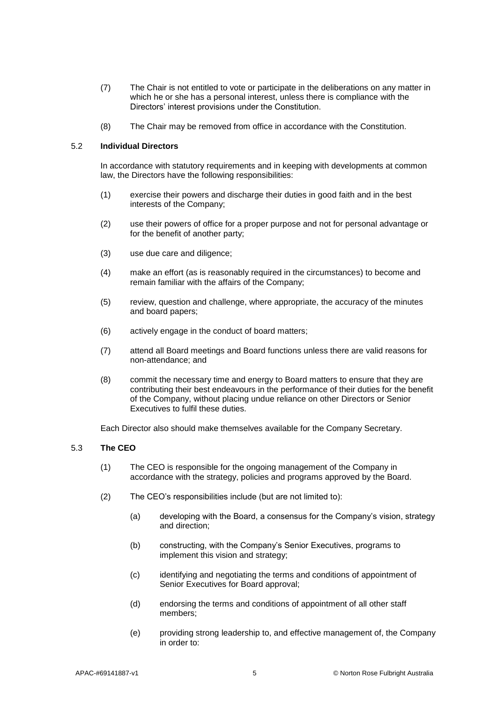- (7) The Chair is not entitled to vote or participate in the deliberations on any matter in which he or she has a personal interest, unless there is compliance with the Directors' interest provisions under the Constitution.
- (8) The Chair may be removed from office in accordance with the Constitution.

#### 5.2 **Individual Directors**

In accordance with statutory requirements and in keeping with developments at common law, the Directors have the following responsibilities:

- (1) exercise their powers and discharge their duties in good faith and in the best interests of the Company;
- (2) use their powers of office for a proper purpose and not for personal advantage or for the benefit of another party;
- (3) use due care and diligence;
- (4) make an effort (as is reasonably required in the circumstances) to become and remain familiar with the affairs of the Company;
- (5) review, question and challenge, where appropriate, the accuracy of the minutes and board papers;
- (6) actively engage in the conduct of board matters;
- (7) attend all Board meetings and Board functions unless there are valid reasons for non-attendance; and
- (8) commit the necessary time and energy to Board matters to ensure that they are contributing their best endeavours in the performance of their duties for the benefit of the Company, without placing undue reliance on other Directors or Senior Executives to fulfil these duties.

Each Director also should make themselves available for the Company Secretary.

#### 5.3 **The CEO**

- (1) The CEO is responsible for the ongoing management of the Company in accordance with the strategy, policies and programs approved by the Board.
- (2) The CEO's responsibilities include (but are not limited to):
	- (a) developing with the Board, a consensus for the Company's vision, strategy and direction;
	- (b) constructing, with the Company's Senior Executives, programs to implement this vision and strategy;
	- (c) identifying and negotiating the terms and conditions of appointment of Senior Executives for Board approval;
	- (d) endorsing the terms and conditions of appointment of all other staff members;
	- (e) providing strong leadership to, and effective management of, the Company in order to: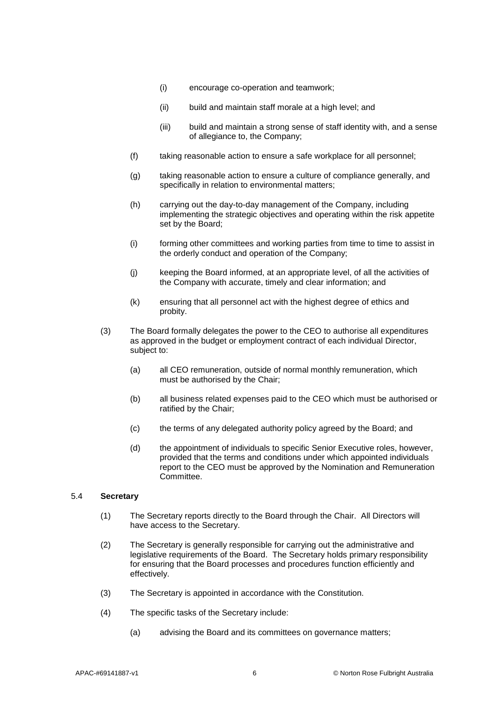- (i) encourage co-operation and teamwork;
- (ii) build and maintain staff morale at a high level; and
- (iii) build and maintain a strong sense of staff identity with, and a sense of allegiance to, the Company;
- (f) taking reasonable action to ensure a safe workplace for all personnel;
- (g) taking reasonable action to ensure a culture of compliance generally, and specifically in relation to environmental matters;
- (h) carrying out the day-to-day management of the Company, including implementing the strategic objectives and operating within the risk appetite set by the Board;
- (i) forming other committees and working parties from time to time to assist in the orderly conduct and operation of the Company;
- (j) keeping the Board informed, at an appropriate level, of all the activities of the Company with accurate, timely and clear information; and
- (k) ensuring that all personnel act with the highest degree of ethics and probity.
- (3) The Board formally delegates the power to the CEO to authorise all expenditures as approved in the budget or employment contract of each individual Director, subject to:
	- (a) all CEO remuneration, outside of normal monthly remuneration, which must be authorised by the Chair;
	- (b) all business related expenses paid to the CEO which must be authorised or ratified by the Chair;
	- (c) the terms of any delegated authority policy agreed by the Board; and
	- (d) the appointment of individuals to specific Senior Executive roles, however, provided that the terms and conditions under which appointed individuals report to the CEO must be approved by the Nomination and Remuneration Committee.

#### 5.4 **Secretary**

- (1) The Secretary reports directly to the Board through the Chair. All Directors will have access to the Secretary.
- (2) The Secretary is generally responsible for carrying out the administrative and legislative requirements of the Board. The Secretary holds primary responsibility for ensuring that the Board processes and procedures function efficiently and effectively.
- (3) The Secretary is appointed in accordance with the Constitution.
- (4) The specific tasks of the Secretary include:
	- (a) advising the Board and its committees on governance matters;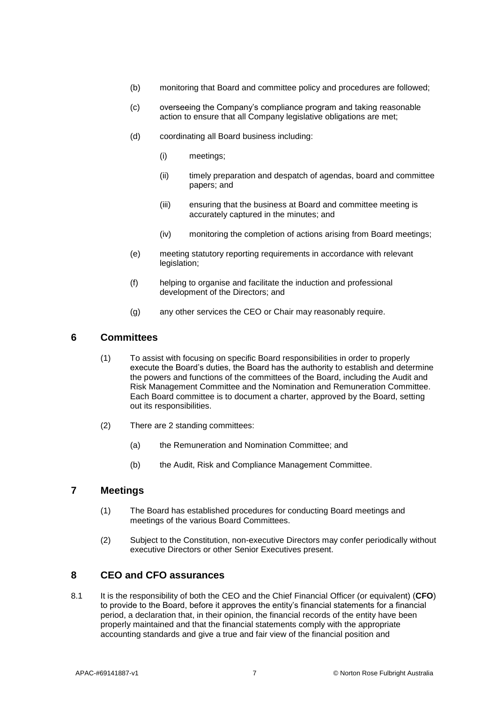- (b) monitoring that Board and committee policy and procedures are followed;
- (c) overseeing the Company's compliance program and taking reasonable action to ensure that all Company legislative obligations are met;
- (d) coordinating all Board business including:
	- (i) meetings;
	- (ii) timely preparation and despatch of agendas, board and committee papers; and
	- (iii) ensuring that the business at Board and committee meeting is accurately captured in the minutes; and
	- (iv) monitoring the completion of actions arising from Board meetings;
- (e) meeting statutory reporting requirements in accordance with relevant legislation;
- (f) helping to organise and facilitate the induction and professional development of the Directors; and
- (g) any other services the CEO or Chair may reasonably require.

## **6 Committees**

- (1) To assist with focusing on specific Board responsibilities in order to properly execute the Board's duties, the Board has the authority to establish and determine the powers and functions of the committees of the Board, including the Audit and Risk Management Committee and the Nomination and Remuneration Committee. Each Board committee is to document a charter, approved by the Board, setting out its responsibilities.
- (2) There are 2 standing committees:
	- (a) the Remuneration and Nomination Committee; and
	- (b) the Audit, Risk and Compliance Management Committee.

## **7 Meetings**

- (1) The Board has established procedures for conducting Board meetings and meetings of the various Board Committees.
- (2) Subject to the Constitution, non-executive Directors may confer periodically without executive Directors or other Senior Executives present.

## **8 CEO and CFO assurances**

8.1 It is the responsibility of both the CEO and the Chief Financial Officer (or equivalent) (**CFO**) to provide to the Board, before it approves the entity's financial statements for a financial period, a declaration that, in their opinion, the financial records of the entity have been properly maintained and that the financial statements comply with the appropriate accounting standards and give a true and fair view of the financial position and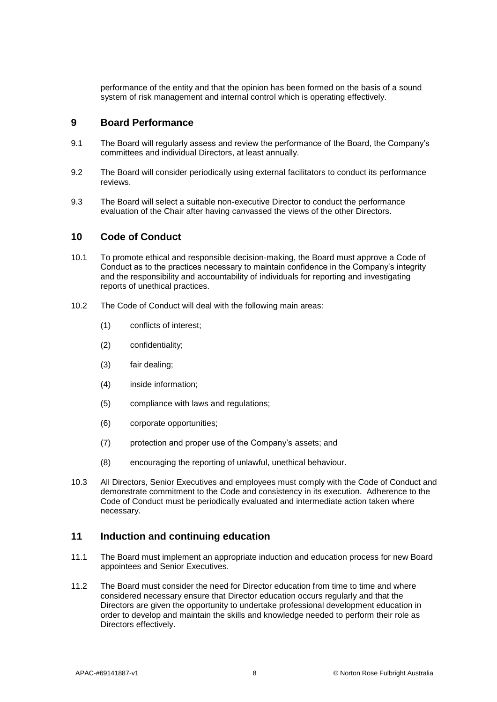performance of the entity and that the opinion has been formed on the basis of a sound system of risk management and internal control which is operating effectively.

## **9 Board Performance**

- 9.1 The Board will regularly assess and review the performance of the Board, the Company's committees and individual Directors, at least annually.
- 9.2 The Board will consider periodically using external facilitators to conduct its performance reviews.
- 9.3 The Board will select a suitable non-executive Director to conduct the performance evaluation of the Chair after having canvassed the views of the other Directors.

### **10 Code of Conduct**

- 10.1 To promote ethical and responsible decision-making, the Board must approve a Code of Conduct as to the practices necessary to maintain confidence in the Company's integrity and the responsibility and accountability of individuals for reporting and investigating reports of unethical practices.
- 10.2 The Code of Conduct will deal with the following main areas:
	- (1) conflicts of interest;
	- (2) confidentiality;
	- (3) fair dealing;
	- (4) inside information;
	- (5) compliance with laws and regulations;
	- (6) corporate opportunities;
	- (7) protection and proper use of the Company's assets; and
	- (8) encouraging the reporting of unlawful, unethical behaviour.
- 10.3 All Directors, Senior Executives and employees must comply with the Code of Conduct and demonstrate commitment to the Code and consistency in its execution. Adherence to the Code of Conduct must be periodically evaluated and intermediate action taken where necessary.

## **11 Induction and continuing education**

- 11.1 The Board must implement an appropriate induction and education process for new Board appointees and Senior Executives.
- 11.2 The Board must consider the need for Director education from time to time and where considered necessary ensure that Director education occurs regularly and that the Directors are given the opportunity to undertake professional development education in order to develop and maintain the skills and knowledge needed to perform their role as Directors effectively.